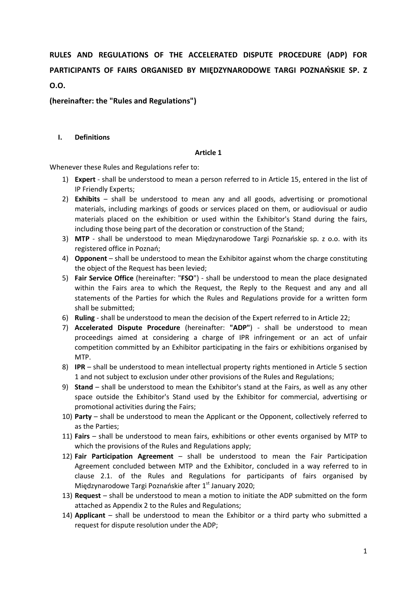**RULES AND REGULATIONS OF THE ACCELERATED DISPUTE PROCEDURE (ADP) FOR PARTICIPANTS OF FAIRS ORGANISED BY MIĘDZYNARODOWE TARGI POZNAŃSKIE SP. Z O.O.**

**(hereinafter: the "Rules and Regulations")**

#### **I. Definitions**

#### **Article 1**

Whenever these Rules and Regulations refer to:

- 1) **Expert** shall be understood to mean a person referred to in Article 15, entered in the list of IP Friendly Experts;
- 2) **Exhibits**  shall be understood to mean any and all goods, advertising or promotional materials, including markings of goods or services placed on them, or audiovisual or audio materials placed on the exhibition or used within the Exhibitor's Stand during the fairs, including those being part of the decoration or construction of the Stand;
- 3) **MTP**  shall be understood to mean Międzynarodowe Targi Poznańskie sp. z o.o. with its registered office in Poznań;
- 4) **Opponent** shall be understood to mean the Exhibitor against whom the charge constituting the object of the Request has been levied;
- 5) **Fair Service Office** (hereinafter: "**FSO**") shall be understood to mean the place designated within the Fairs area to which the Request, the Reply to the Request and any and all statements of the Parties for which the Rules and Regulations provide for a written form shall be submitted;
- 6) **Ruling** shall be understood to mean the decision of the Expert referred to in Article 22;
- 7) **Accelerated Dispute Procedure** (hereinafter: **"ADP"**) shall be understood to mean proceedings aimed at considering a charge of IPR infringement or an act of unfair competition committed by an Exhibitor participating in the fairs or exhibitions organised by MTP.
- 8) **IPR** shall be understood to mean intellectual property rights mentioned in Article 5 section 1 and not subject to exclusion under other provisions of the Rules and Regulations;
- 9) **Stand**  shall be understood to mean the Exhibitor's stand at the Fairs, as well as any other space outside the Exhibitor's Stand used by the Exhibitor for commercial, advertising or promotional activities during the Fairs;
- 10) **Party** shall be understood to mean the Applicant or the Opponent, collectively referred to as the Parties;
- 11) **Fairs** shall be understood to mean fairs, exhibitions or other events organised by MTP to which the provisions of the Rules and Regulations apply;
- 12) **Fair Participation Agreement** shall be understood to mean the Fair Participation Agreement concluded between MTP and the Exhibitor, concluded in a way referred to in clause 2.1. of the Rules and Regulations for participants of fairs organised by Międzynarodowe Targi Poznańskie after  $1<sup>st</sup>$  January 2020;
- 13) **Request** shall be understood to mean a motion to initiate the ADP submitted on the form attached as Appendix 2 to the Rules and Regulations;
- 14) **Applicant** shall be understood to mean the Exhibitor or a third party who submitted a request for dispute resolution under the ADP;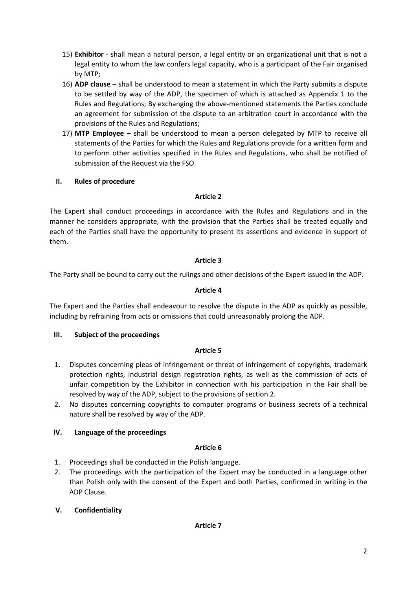- 15) **Exhibitor** shall mean a natural person, a legal entity or an organizational unit that is not a legal entity to whom the law confers legal capacity, who is a participant of the Fair organised by MTP;
- 16) **ADP clause**  shall be understood to mean a statement in which the Party submits a dispute to be settled by way of the ADP, the specimen of which is attached as Appendix 1 to the Rules and Regulations; By exchanging the above-mentioned statements the Parties conclude an agreement for submission of the dispute to an arbitration court in accordance with the provisions of the Rules and Regulations;
- 17) **MTP Employee**  shall be understood to mean a person delegated by MTP to receive all statements of the Parties for which the Rules and Regulations provide for a written form and to perform other activities specified in the Rules and Regulations, who shall be notified of submission of the Request via the FSO.

# **II. Rules of procedure**

## **Article 2**

The Expert shall conduct proceedings in accordance with the Rules and Regulations and in the manner he considers appropriate, with the provision that the Parties shall be treated equally and each of the Parties shall have the opportunity to present its assertions and evidence in support of them.

# **Article 3**

The Party shall be bound to carry out the rulings and other decisions of the Expert issued in the ADP.

## **Article 4**

The Expert and the Parties shall endeavour to resolve the dispute in the ADP as quickly as possible, including by refraining from acts or omissions that could unreasonably prolong the ADP.

## **III. Subject of the proceedings**

## **Article 5**

- 1. Disputes concerning pleas of infringement or threat of infringement of copyrights, trademark protection rights, industrial design registration rights, as well as the commission of acts of unfair competition by the Exhibitor in connection with his participation in the Fair shall be resolved by way of the ADP, subject to the provisions of section 2.
- 2. No disputes concerning copyrights to computer programs or business secrets of a technical nature shall be resolved by way of the ADP.

# **IV. Language of the proceedings**

## **Article 6**

- 1. Proceedings shall be conducted in the Polish language.
- 2. The proceedings with the participation of the Expert may be conducted in a language other than Polish only with the consent of the Expert and both Parties, confirmed in writing in the ADP Clause.

## **V. Confidentiality**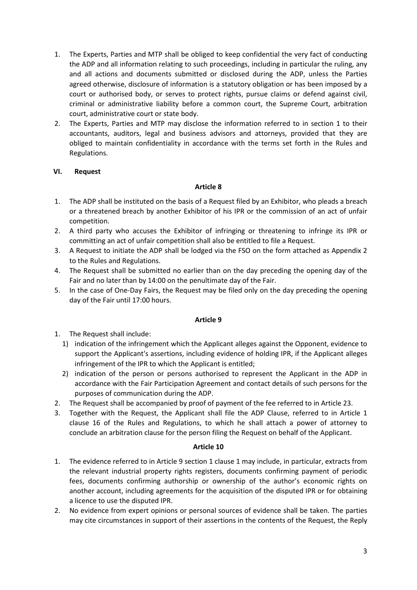- 1. The Experts, Parties and MTP shall be obliged to keep confidential the very fact of conducting the ADP and all information relating to such proceedings, including in particular the ruling, any and all actions and documents submitted or disclosed during the ADP, unless the Parties agreed otherwise, disclosure of information is a statutory obligation or has been imposed by a court or authorised body, or serves to protect rights, pursue claims or defend against civil, criminal or administrative liability before a common court, the Supreme Court, arbitration court, administrative court or state body.
- 2. The Experts, Parties and MTP may disclose the information referred to in section 1 to their accountants, auditors, legal and business advisors and attorneys, provided that they are obliged to maintain confidentiality in accordance with the terms set forth in the Rules and Regulations.

## **VI. Request**

#### **Article 8**

- 1. The ADP shall be instituted on the basis of a Request filed by an Exhibitor, who pleads a breach or a threatened breach by another Exhibitor of his IPR or the commission of an act of unfair competition.
- 2. A third party who accuses the Exhibitor of infringing or threatening to infringe its IPR or committing an act of unfair competition shall also be entitled to file a Request.
- 3. A Request to initiate the ADP shall be lodged via the FSO on the form attached as Appendix 2 to the Rules and Regulations.
- 4. The Request shall be submitted no earlier than on the day preceding the opening day of the Fair and no later than by 14:00 on the penultimate day of the Fair.
- 5. In the case of One-Day Fairs, the Request may be filed only on the day preceding the opening day of the Fair until 17:00 hours.

#### **Article 9**

- 1. The Request shall include:
	- 1) indication of the infringement which the Applicant alleges against the Opponent, evidence to support the Applicant's assertions, including evidence of holding IPR, if the Applicant alleges infringement of the IPR to which the Applicant is entitled;
	- 2) indication of the person or persons authorised to represent the Applicant in the ADP in accordance with the Fair Participation Agreement and contact details of such persons for the purposes of communication during the ADP.
- 2. The Request shall be accompanied by proof of payment of the fee referred to in Article 23.
- 3. Together with the Request, the Applicant shall file the ADP Clause, referred to in Article 1 clause 16 of the Rules and Regulations, to which he shall attach a power of attorney to conclude an arbitration clause for the person filing the Request on behalf of the Applicant.

- 1. The evidence referred to in Article 9 section 1 clause 1 may include, in particular, extracts from the relevant industrial property rights registers, documents confirming payment of periodic fees, documents confirming authorship or ownership of the author's economic rights on another account, including agreements for the acquisition of the disputed IPR or for obtaining a licence to use the disputed IPR.
- 2. No evidence from expert opinions or personal sources of evidence shall be taken. The parties may cite circumstances in support of their assertions in the contents of the Request, the Reply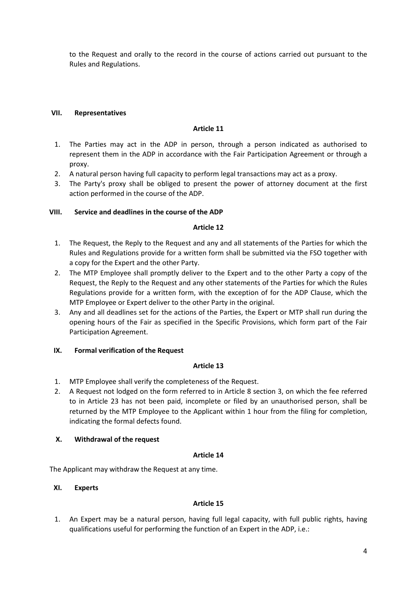to the Request and orally to the record in the course of actions carried out pursuant to the Rules and Regulations.

#### **VII. Representatives**

#### **Article 11**

- 1. The Parties may act in the ADP in person, through a person indicated as authorised to represent them in the ADP in accordance with the Fair Participation Agreement or through a proxy.
- 2. A natural person having full capacity to perform legal transactions may act as a proxy.
- 3. The Party's proxy shall be obliged to present the power of attorney document at the first action performed in the course of the ADP.

## **VIII. Service and deadlines in the course of the ADP**

# **Article 12**

- 1. The Request, the Reply to the Request and any and all statements of the Parties for which the Rules and Regulations provide for a written form shall be submitted via the FSO together with a copy for the Expert and the other Party.
- 2. The MTP Employee shall promptly deliver to the Expert and to the other Party a copy of the Request, the Reply to the Request and any other statements of the Parties for which the Rules Regulations provide for a written form, with the exception of for the ADP Clause, which the MTP Employee or Expert deliver to the other Party in the original.
- 3. Any and all deadlines set for the actions of the Parties, the Expert or MTP shall run during the opening hours of the Fair as specified in the Specific Provisions, which form part of the Fair Participation Agreement.

## **IX. Formal verification of the Request**

#### **Article 13**

- 1. MTP Employee shall verify the completeness of the Request.
- 2. A Request not lodged on the form referred to in Article 8 section 3, on which the fee referred to in Article 23 has not been paid, incomplete or filed by an unauthorised person, shall be returned by the MTP Employee to the Applicant within 1 hour from the filing for completion, indicating the formal defects found.

## **X. Withdrawal of the request**

#### **Article 14**

The Applicant may withdraw the Request at any time.

#### **XI. Experts**

## **Article 15**

1. An Expert may be a natural person, having full legal capacity, with full public rights, having qualifications useful for performing the function of an Expert in the ADP, i.e.: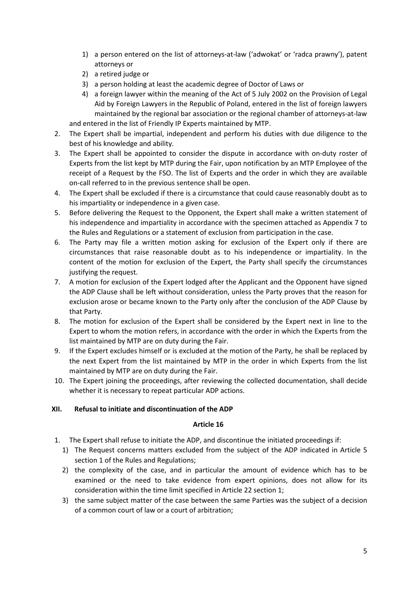- 1) a person entered on the list of attorneys-at-law ('adwokat' or 'radca prawny'), patent attorneys or
- 2) a retired judge or
- 3) a person holding at least the academic degree of Doctor of Laws or
- 4) a foreign lawyer within the meaning of the Act of 5 July 2002 on the Provision of Legal Aid by Foreign Lawyers in the Republic of Poland, entered in the list of foreign lawyers maintained by the regional bar association or the regional chamber of attorneys-at-law and entered in the list of Friendly IP Experts maintained by MTP.

2. The Expert shall be impartial, independent and perform his duties with due diligence to the best of his knowledge and ability.

- 3. The Expert shall be appointed to consider the dispute in accordance with on-duty roster of Experts from the list kept by MTP during the Fair, upon notification by an MTP Employee of the receipt of a Request by the FSO. The list of Experts and the order in which they are available on-call referred to in the previous sentence shall be open.
- 4. The Expert shall be excluded if there is a circumstance that could cause reasonably doubt as to his impartiality or independence in a given case.
- 5. Before delivering the Request to the Opponent, the Expert shall make a written statement of his independence and impartiality in accordance with the specimen attached as Appendix 7 to the Rules and Regulations or a statement of exclusion from participation in the case.
- 6. The Party may file a written motion asking for exclusion of the Expert only if there are circumstances that raise reasonable doubt as to his independence or impartiality. In the content of the motion for exclusion of the Expert, the Party shall specify the circumstances justifying the request.
- 7. A motion for exclusion of the Expert lodged after the Applicant and the Opponent have signed the ADP Clause shall be left without consideration, unless the Party proves that the reason for exclusion arose or became known to the Party only after the conclusion of the ADP Clause by that Party.
- 8. The motion for exclusion of the Expert shall be considered by the Expert next in line to the Expert to whom the motion refers, in accordance with the order in which the Experts from the list maintained by MTP are on duty during the Fair.
- 9. If the Expert excludes himself or is excluded at the motion of the Party, he shall be replaced by the next Expert from the list maintained by MTP in the order in which Experts from the list maintained by MTP are on duty during the Fair.
- 10. The Expert joining the proceedings, after reviewing the collected documentation, shall decide whether it is necessary to repeat particular ADP actions.

## **XII. Refusal to initiate and discontinuation of the ADP**

- 1. The Expert shall refuse to initiate the ADP, and discontinue the initiated proceedings if:
	- 1) The Request concerns matters excluded from the subject of the ADP indicated in Article 5 section 1 of the Rules and Regulations;
	- 2) the complexity of the case, and in particular the amount of evidence which has to be examined or the need to take evidence from expert opinions, does not allow for its consideration within the time limit specified in Article 22 section 1;
	- 3) the same subject matter of the case between the same Parties was the subject of a decision of a common court of law or a court of arbitration;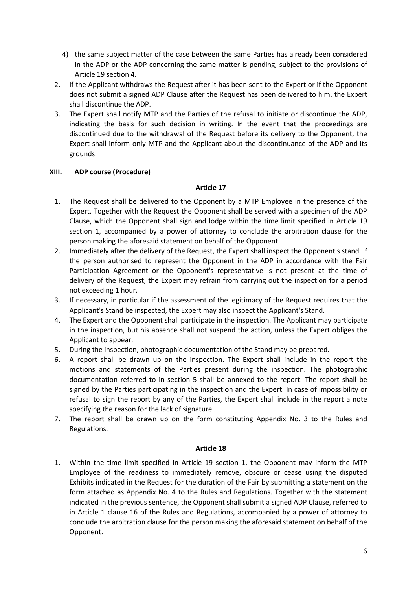- 4) the same subject matter of the case between the same Parties has already been considered in the ADP or the ADP concerning the same matter is pending, subject to the provisions of Article 19 section 4.
- 2. If the Applicant withdraws the Request after it has been sent to the Expert or if the Opponent does not submit a signed ADP Clause after the Request has been delivered to him, the Expert shall discontinue the ADP.
- 3. The Expert shall notify MTP and the Parties of the refusal to initiate or discontinue the ADP, indicating the basis for such decision in writing. In the event that the proceedings are discontinued due to the withdrawal of the Request before its delivery to the Opponent, the Expert shall inform only MTP and the Applicant about the discontinuance of the ADP and its grounds.

## **XIII. ADP course (Procedure)**

# **Article 17**

- 1. The Request shall be delivered to the Opponent by a MTP Employee in the presence of the Expert. Together with the Request the Opponent shall be served with a specimen of the ADP Clause, which the Opponent shall sign and lodge within the time limit specified in Article 19 section 1, accompanied by a power of attorney to conclude the arbitration clause for the person making the aforesaid statement on behalf of the Opponent
- 2. Immediately after the delivery of the Request, the Expert shall inspect the Opponent's stand. If the person authorised to represent the Opponent in the ADP in accordance with the Fair Participation Agreement or the Opponent's representative is not present at the time of delivery of the Request, the Expert may refrain from carrying out the inspection for a period not exceeding 1 hour.
- 3. If necessary, in particular if the assessment of the legitimacy of the Request requires that the Applicant's Stand be inspected, the Expert may also inspect the Applicant's Stand.
- 4. The Expert and the Opponent shall participate in the inspection. The Applicant may participate in the inspection, but his absence shall not suspend the action, unless the Expert obliges the Applicant to appear.
- 5. During the inspection, photographic documentation of the Stand may be prepared.
- 6. A report shall be drawn up on the inspection. The Expert shall include in the report the motions and statements of the Parties present during the inspection. The photographic documentation referred to in section 5 shall be annexed to the report. The report shall be signed by the Parties participating in the inspection and the Expert. In case of impossibility or refusal to sign the report by any of the Parties, the Expert shall include in the report a note specifying the reason for the lack of signature.
- 7. The report shall be drawn up on the form constituting Appendix No. 3 to the Rules and Regulations.

## **Article 18**

1. Within the time limit specified in Article 19 section 1, the Opponent may inform the MTP Employee of the readiness to immediately remove, obscure or cease using the disputed Exhibits indicated in the Request for the duration of the Fair by submitting a statement on the form attached as Appendix No. 4 to the Rules and Regulations. Together with the statement indicated in the previous sentence, the Opponent shall submit a signed ADP Clause, referred to in Article 1 clause 16 of the Rules and Regulations, accompanied by a power of attorney to conclude the arbitration clause for the person making the aforesaid statement on behalf of the Opponent.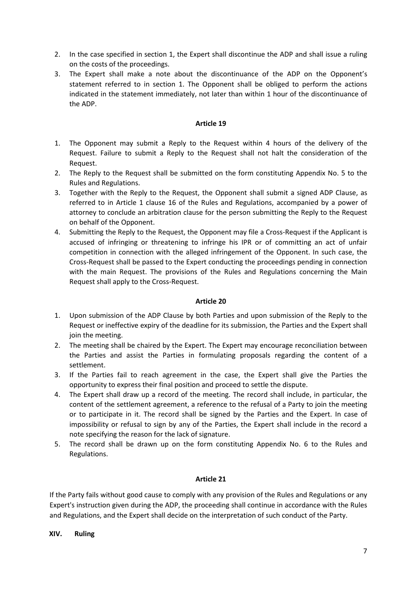- 2. In the case specified in section 1, the Expert shall discontinue the ADP and shall issue a ruling on the costs of the proceedings.
- 3. The Expert shall make a note about the discontinuance of the ADP on the Opponent's statement referred to in section 1. The Opponent shall be obliged to perform the actions indicated in the statement immediately, not later than within 1 hour of the discontinuance of the ADP.

#### **Article 19**

- 1. The Opponent may submit a Reply to the Request within 4 hours of the delivery of the Request. Failure to submit a Reply to the Request shall not halt the consideration of the Request.
- 2. The Reply to the Request shall be submitted on the form constituting Appendix No. 5 to the Rules and Regulations.
- 3. Together with the Reply to the Request, the Opponent shall submit a signed ADP Clause, as referred to in Article 1 clause 16 of the Rules and Regulations, accompanied by a power of attorney to conclude an arbitration clause for the person submitting the Reply to the Request on behalf of the Opponent.
- 4. Submitting the Reply to the Request, the Opponent may file a Cross-Request if the Applicant is accused of infringing or threatening to infringe his IPR or of committing an act of unfair competition in connection with the alleged infringement of the Opponent. In such case, the Cross-Request shall be passed to the Expert conducting the proceedings pending in connection with the main Request. The provisions of the Rules and Regulations concerning the Main Request shall apply to the Cross-Request.

## **Article 20**

- 1. Upon submission of the ADP Clause by both Parties and upon submission of the Reply to the Request or ineffective expiry of the deadline for its submission, the Parties and the Expert shall join the meeting.
- 2. The meeting shall be chaired by the Expert. The Expert may encourage reconciliation between the Parties and assist the Parties in formulating proposals regarding the content of a settlement.
- 3. If the Parties fail to reach agreement in the case, the Expert shall give the Parties the opportunity to express their final position and proceed to settle the dispute.
- 4. The Expert shall draw up a record of the meeting. The record shall include, in particular, the content of the settlement agreement, a reference to the refusal of a Party to join the meeting or to participate in it. The record shall be signed by the Parties and the Expert. In case of impossibility or refusal to sign by any of the Parties, the Expert shall include in the record a note specifying the reason for the lack of signature.
- 5. The record shall be drawn up on the form constituting Appendix No. 6 to the Rules and Regulations.

## **Article 21**

If the Party fails without good cause to comply with any provision of the Rules and Regulations or any Expert's instruction given during the ADP, the proceeding shall continue in accordance with the Rules and Regulations, and the Expert shall decide on the interpretation of such conduct of the Party.

#### **XIV. Ruling**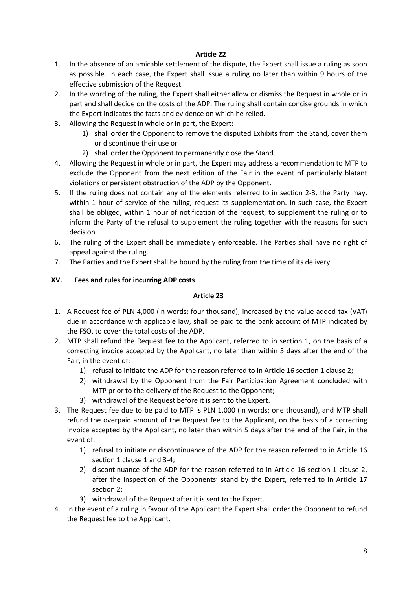# **Article 22**

- 1. In the absence of an amicable settlement of the dispute, the Expert shall issue a ruling as soon as possible. In each case, the Expert shall issue a ruling no later than within 9 hours of the effective submission of the Request.
- 2. In the wording of the ruling, the Expert shall either allow or dismiss the Request in whole or in part and shall decide on the costs of the ADP. The ruling shall contain concise grounds in which the Expert indicates the facts and evidence on which he relied.
- 3. Allowing the Request in whole or in part, the Expert:
	- 1) shall order the Opponent to remove the disputed Exhibits from the Stand, cover them or discontinue their use or
	- 2) shall order the Opponent to permanently close the Stand.
- 4. Allowing the Request in whole or in part, the Expert may address a recommendation to MTP to exclude the Opponent from the next edition of the Fair in the event of particularly blatant violations or persistent obstruction of the ADP by the Opponent.
- 5. If the ruling does not contain any of the elements referred to in section 2-3, the Party may, within 1 hour of service of the ruling, request its supplementation. In such case, the Expert shall be obliged, within 1 hour of notification of the request, to supplement the ruling or to inform the Party of the refusal to supplement the ruling together with the reasons for such decision.
- 6. The ruling of the Expert shall be immediately enforceable. The Parties shall have no right of appeal against the ruling.
- 7. The Parties and the Expert shall be bound by the ruling from the time of its delivery.

## **XV. Fees and rules for incurring ADP costs**

- 1. A Request fee of PLN 4,000 (in words: four thousand), increased by the value added tax (VAT) due in accordance with applicable law, shall be paid to the bank account of MTP indicated by the FSO, to cover the total costs of the ADP.
- 2. MTP shall refund the Request fee to the Applicant, referred to in section 1, on the basis of a correcting invoice accepted by the Applicant, no later than within 5 days after the end of the Fair, in the event of:
	- 1) refusal to initiate the ADP for the reason referred to in Article 16 section 1 clause 2;
	- 2) withdrawal by the Opponent from the Fair Participation Agreement concluded with MTP prior to the delivery of the Request to the Opponent;
	- 3) withdrawal of the Request before it is sent to the Expert.
- 3. The Request fee due to be paid to MTP is PLN 1,000 (in words: one thousand), and MTP shall refund the overpaid amount of the Request fee to the Applicant, on the basis of a correcting invoice accepted by the Applicant, no later than within 5 days after the end of the Fair, in the event of:
	- 1) refusal to initiate or discontinuance of the ADP for the reason referred to in Article 16 section 1 clause 1 and 3-4;
	- 2) discontinuance of the ADP for the reason referred to in Article 16 section 1 clause 2, after the inspection of the Opponents' stand by the Expert, referred to in Article 17 section 2;
	- 3) withdrawal of the Request after it is sent to the Expert.
- 4. In the event of a ruling in favour of the Applicant the Expert shall order the Opponent to refund the Request fee to the Applicant.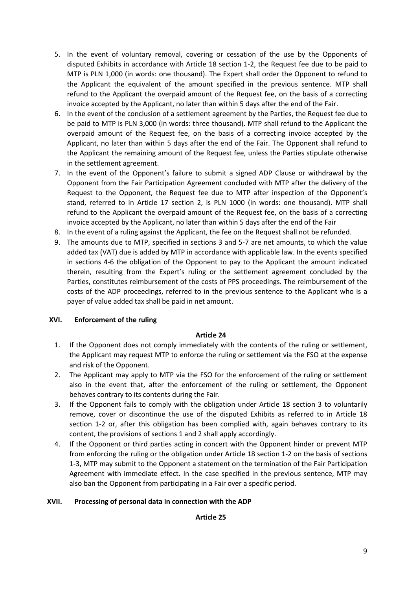- 5. In the event of voluntary removal, covering or cessation of the use by the Opponents of disputed Exhibits in accordance with Article 18 section 1-2, the Request fee due to be paid to MTP is PLN 1,000 (in words: one thousand). The Expert shall order the Opponent to refund to the Applicant the equivalent of the amount specified in the previous sentence. MTP shall refund to the Applicant the overpaid amount of the Request fee, on the basis of a correcting invoice accepted by the Applicant, no later than within 5 days after the end of the Fair.
- 6. In the event of the conclusion of a settlement agreement by the Parties, the Request fee due to be paid to MTP is PLN 3,000 (in words: three thousand). MTP shall refund to the Applicant the overpaid amount of the Request fee, on the basis of a correcting invoice accepted by the Applicant, no later than within 5 days after the end of the Fair. The Opponent shall refund to the Applicant the remaining amount of the Request fee, unless the Parties stipulate otherwise in the settlement agreement.
- 7. In the event of the Opponent's failure to submit a signed ADP Clause or withdrawal by the Opponent from the Fair Participation Agreement concluded with MTP after the delivery of the Request to the Opponent, the Request fee due to MTP after inspection of the Opponent's stand, referred to in Article 17 section 2, is PLN 1000 (in words: one thousand). MTP shall refund to the Applicant the overpaid amount of the Request fee, on the basis of a correcting invoice accepted by the Applicant, no later than within 5 days after the end of the Fair
- 8. In the event of a ruling against the Applicant, the fee on the Request shall not be refunded.
- 9. The amounts due to MTP, specified in sections 3 and 5-7 are net amounts, to which the value added tax (VAT) due is added by MTP in accordance with applicable law. In the events specified in sections 4-6 the obligation of the Opponent to pay to the Applicant the amount indicated therein, resulting from the Expert's ruling or the settlement agreement concluded by the Parties, constitutes reimbursement of the costs of PPS proceedings. The reimbursement of the costs of the ADP proceedings, referred to in the previous sentence to the Applicant who is a payer of value added tax shall be paid in net amount.

#### **XVI. Enforcement of the ruling**

#### **Article 24**

- 1. If the Opponent does not comply immediately with the contents of the ruling or settlement, the Applicant may request MTP to enforce the ruling or settlement via the FSO at the expense and risk of the Opponent.
- 2. The Applicant may apply to MTP via the FSO for the enforcement of the ruling or settlement also in the event that, after the enforcement of the ruling or settlement, the Opponent behaves contrary to its contents during the Fair.
- 3. If the Opponent fails to comply with the obligation under Article 18 section 3 to voluntarily remove, cover or discontinue the use of the disputed Exhibits as referred to in Article 18 section 1-2 or, after this obligation has been complied with, again behaves contrary to its content, the provisions of sections 1 and 2 shall apply accordingly.
- 4. If the Opponent or third parties acting in concert with the Opponent hinder or prevent MTP from enforcing the ruling or the obligation under Article 18 section 1-2 on the basis of sections 1-3, MTP may submit to the Opponent a statement on the termination of the Fair Participation Agreement with immediate effect. In the case specified in the previous sentence, MTP may also ban the Opponent from participating in a Fair over a specific period.

#### **XVII. Processing of personal data in connection with the ADP**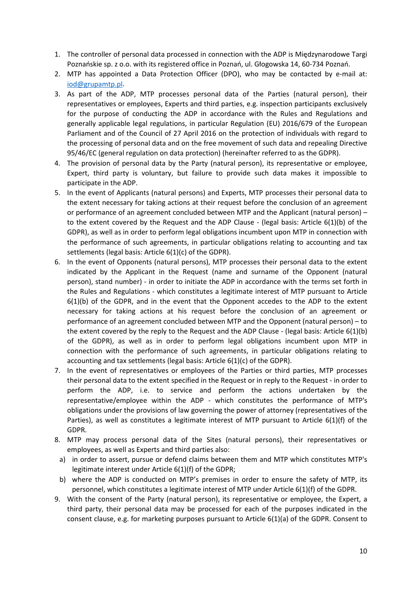- 1. The controller of personal data processed in connection with the ADP is Międzynarodowe Targi Poznańskie sp. z o.o. with its registered office in Poznań, ul. Głogowska 14, 60-734 Poznań.
- 2. MTP has appointed a Data Protection Officer (DPO), who may be contacted by e-mail at: [iod@grupamtp.pl.](mailto:iod@grupamtp.pl)
- 3. As part of the ADP, MTP processes personal data of the Parties (natural person), their representatives or employees, Experts and third parties, e.g. inspection participants exclusively for the purpose of conducting the ADP in accordance with the Rules and Regulations and generally applicable legal regulations, in particular Regulation (EU) 2016/679 of the European Parliament and of the Council of 27 April 2016 on the protection of individuals with regard to the processing of personal data and on the free movement of such data and repealing Directive 95/46/EC (general regulation on data protection) (hereinafter referred to as the GDPR).
- 4. The provision of personal data by the Party (natural person), its representative or employee, Expert, third party is voluntary, but failure to provide such data makes it impossible to participate in the ADP.
- 5. In the event of Applicants (natural persons) and Experts, MTP processes their personal data to the extent necessary for taking actions at their request before the conclusion of an agreement or performance of an agreement concluded between MTP and the Applicant (natural person) – to the extent covered by the Request and the ADP Clause - (legal basis: Article 6(1)(b) of the GDPR), as well as in order to perform legal obligations incumbent upon MTP in connection with the performance of such agreements, in particular obligations relating to accounting and tax settlements (legal basis: Article 6(1)(c) of the GDPR).
- 6. In the event of Opponents (natural persons), MTP processes their personal data to the extent indicated by the Applicant in the Request (name and surname of the Opponent (natural person), stand number) - in order to initiate the ADP in accordance with the terms set forth in the Rules and Regulations - which constitutes a legitimate interest of MTP pursuant to Article 6(1)(b) of the GDPR, and in the event that the Opponent accedes to the ADP to the extent necessary for taking actions at his request before the conclusion of an agreement or performance of an agreement concluded between MTP and the Opponent (natural person) – to the extent covered by the reply to the Request and the ADP Clause - (legal basis: Article 6(1)(b) of the GDPR), as well as in order to perform legal obligations incumbent upon MTP in connection with the performance of such agreements, in particular obligations relating to accounting and tax settlements (legal basis: Article 6(1)(c) of the GDPR).
- 7. In the event of representatives or employees of the Parties or third parties, MTP processes their personal data to the extent specified in the Request or in reply to the Request - in order to perform the ADP, i.e. to service and perform the actions undertaken by the representative/employee within the ADP - which constitutes the performance of MTP's obligations under the provisions of law governing the power of attorney (representatives of the Parties), as well as constitutes a legitimate interest of MTP pursuant to Article 6(1)(f) of the GDPR.
- 8. MTP may process personal data of the Sites (natural persons), their representatives or employees, as well as Experts and third parties also:
	- a) in order to assert, pursue or defend claims between them and MTP which constitutes MTP's legitimate interest under Article 6(1)(f) of the GDPR;
	- b) where the ADP is conducted on MTP's premises in order to ensure the safety of MTP, its personnel, which constitutes a legitimate interest of MTP under Article 6(1)(f) of the GDPR.
- 9. With the consent of the Party (natural person), its representative or employee, the Expert, a third party, their personal data may be processed for each of the purposes indicated in the consent clause, e.g. for marketing purposes pursuant to Article 6(1)(a) of the GDPR. Consent to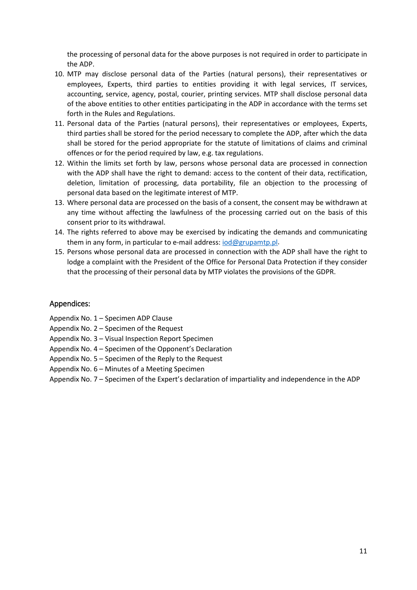the processing of personal data for the above purposes is not required in order to participate in the ADP.

- 10. MTP may disclose personal data of the Parties (natural persons), their representatives or employees, Experts, third parties to entities providing it with legal services, IT services, accounting, service, agency, postal, courier, printing services. MTP shall disclose personal data of the above entities to other entities participating in the ADP in accordance with the terms set forth in the Rules and Regulations.
- 11. Personal data of the Parties (natural persons), their representatives or employees, Experts, third parties shall be stored for the period necessary to complete the ADP, after which the data shall be stored for the period appropriate for the statute of limitations of claims and criminal offences or for the period required by law, e.g. tax regulations.
- 12. Within the limits set forth by law, persons whose personal data are processed in connection with the ADP shall have the right to demand: access to the content of their data, rectification, deletion, limitation of processing, data portability, file an objection to the processing of personal data based on the legitimate interest of MTP.
- 13. Where personal data are processed on the basis of a consent, the consent may be withdrawn at any time without affecting the lawfulness of the processing carried out on the basis of this consent prior to its withdrawal.
- 14. The rights referred to above may be exercised by indicating the demands and communicating them in any form, in particular to e-mail address: [iod@grupamtp.pl.](mailto:iod@grupamtp.pl)
- 15. Persons whose personal data are processed in connection with the ADP shall have the right to lodge a complaint with the President of the Office for Personal Data Protection if they consider that the processing of their personal data by MTP violates the provisions of the GDPR.

# Appendices:

- Appendix No. 1 Specimen ADP Clause
- Appendix No. 2 Specimen of the Request
- Appendix No. 3 Visual Inspection Report Specimen
- Appendix No. 4 Specimen of the Opponent's Declaration
- Appendix No. 5 Specimen of the Reply to the Request
- Appendix No. 6 Minutes of a Meeting Specimen
- Appendix No. 7 Specimen of the Expert's declaration of impartiality and independence in the ADP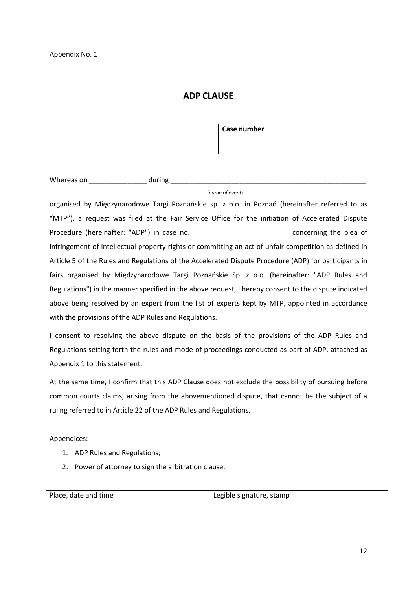# **ADP CLAUSE**

**Case number**

Whereas on **whereas** on **the during and all the during and all the set of the set of the set of the set of the set of the set of the set of the set of the set of the set of the set of the set of the set of the set of the s** 

#### (*name of event*)

organised by Międzynarodowe Targi Poznańskie sp. z o.o. in Poznań (hereinafter referred to as "MTP"), a request was filed at the Fair Service Office for the initiation of Accelerated Dispute Procedure (hereinafter: "ADP") in case no. \_\_\_\_\_\_\_\_\_\_\_\_\_\_\_\_\_\_\_\_\_\_\_\_\_\_\_\_\_\_\_ concerning the plea of infringement of intellectual property rights or committing an act of unfair competition as defined in Article 5 of the Rules and Regulations of the Accelerated Dispute Procedure (ADP) for participants in fairs organised by Międzynarodowe Targi Poznańskie Sp. z o.o. (hereinafter: "ADP Rules and Regulations") in the manner specified in the above request, I hereby consent to the dispute indicated above being resolved by an expert from the list of experts kept by MTP, appointed in accordance with the provisions of the ADP Rules and Regulations.

I consent to resolving the above dispute on the basis of the provisions of the ADP Rules and Regulations setting forth the rules and mode of proceedings conducted as part of ADP, attached as Appendix 1 to this statement.

At the same time, I confirm that this ADP Clause does not exclude the possibility of pursuing before common courts claims, arising from the abovementioned dispute, that cannot be the subject of a ruling referred to in Article 22 of the ADP Rules and Regulations.

Appendices:

- 1. ADP Rules and Regulations;
- 2. Power of attorney to sign the arbitration clause.

| Place, date and time | Legible signature, stamp |
|----------------------|--------------------------|
|                      |                          |
|                      |                          |
|                      |                          |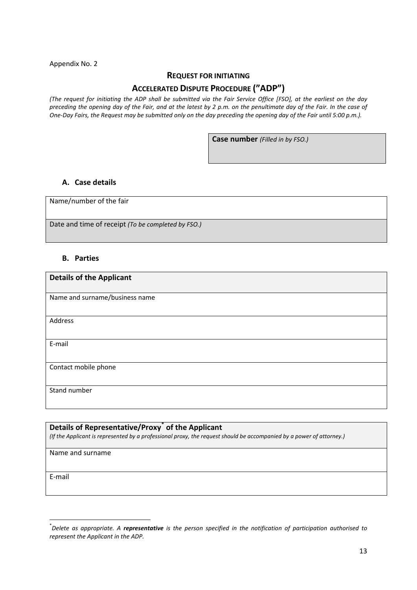Appendix No. 2

#### **REQUEST FOR INITIATING**

## **ACCELERATED DISPUTE PROCEDURE ("ADP")**

*(The request for initiating the ADP shall be submitted via the Fair Service Office [FSO], at the earliest on the day preceding the opening day of the Fair, and at the latest by 2 p.m. on the penultimate day of the Fair. In the case of One-Day Fairs, the Request may be submitted only on the day preceding the opening day of the Fair until 5:00 p.m.).*

**Case number** *(Filled in by FSO.)*

#### **A. Case details**

Name/number of the fair

Date and time of receipt *(To be completed by FSO.)*

#### **B. Parties**

| <b>Details of the Applicant</b> |
|---------------------------------|
|                                 |
| Name and surname/business name  |
|                                 |
| Address                         |
|                                 |
| E-mail                          |
|                                 |
| Contact mobile phone            |
|                                 |
| Stand number                    |
|                                 |

# **Details of Representative/Proxy[\\*](#page-12-0) of the Applicant** *(If the Applicant is represented by a professional proxy, the request should be accompanied by a power of attorney.)* Name and surname E-mail

<span id="page-12-0"></span> <sup>\*</sup> *Delete as appropriate. A representative is the person specified in the notification of participation authorised to represent the Applicant in the ADP.*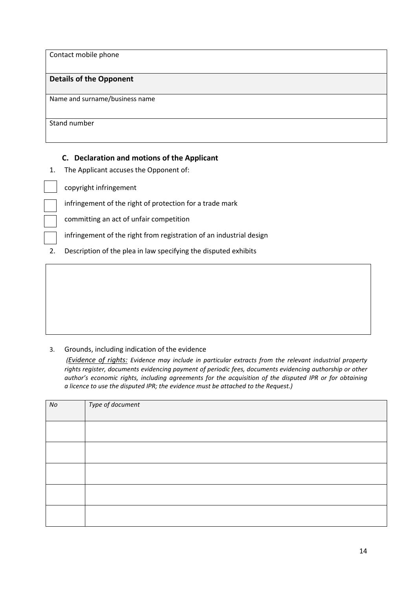Contact mobile phone

#### **Details of the Opponent**

Name and surname/business name

Stand number

# **C. Declaration and motions of the Applicant**

1. The Applicant accuses the Opponent of:

copyright infringement

infringement of the right of protection for a trade mark

committing an act of unfair competition

infringement of the right from registration of an industrial design

2. Description of the plea in law specifying the disputed exhibits

## 3. Grounds, including indication of the evidence

*(Evidence of rights: Evidence may include in particular extracts from the relevant industrial property rights register, documents evidencing payment of periodic fees, documents evidencing authorship or other author's economic rights, including agreements for the acquisition of the disputed IPR or for obtaining a licence to use the disputed IPR; the evidence must be attached to the Request.)*

| No | Type of document |
|----|------------------|
|    |                  |
|    |                  |
|    |                  |
|    |                  |
|    |                  |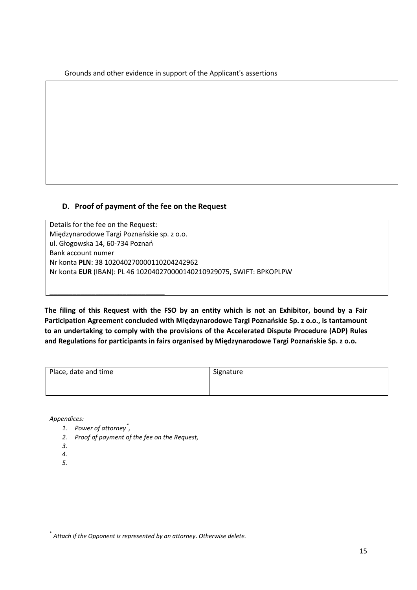Grounds and other evidence in support of the Applicant's assertions

# **D. Proof of payment of the fee on the Request**

Details for the fee on the Request: Międzynarodowe Targi Poznańskie sp. z o.o. ul. Głogowska 14, 60-734 Poznań Bank account numer Nr konta **PLN**: 38 102040270000110204242962 Nr konta **EUR** (IBAN): PL 46 102040270000140210929075, SWIFT: BPKOPLPW

**The filing of this Request with the FSO by an entity which is not an Exhibitor, bound by a Fair Participation Agreement concluded with Międzynarodowe Targi Poznańskie Sp. z o.o., is tantamount to an undertaking to comply with the provisions of the Accelerated Dispute Procedure (ADP) Rules and Regulations for participants in fairs organised by Międzynarodowe Targi Poznańskie Sp. z o.o.**

| Place, date and time | Signature |
|----------------------|-----------|
|                      |           |

*Appendices:*

*1. Power of attorney[\\*](#page-14-0) ,*

\_\_\_\_\_\_\_\_\_\_\_\_\_\_\_\_\_\_\_\_\_\_\_\_\_\_\_\_\_\_

- *2. Proof of payment of the fee on the Request,*
- *3.*
- *4.*
- *5.*

<span id="page-14-0"></span> <sup>\*</sup> *Attach if the Opponent is represented by an attorney*. *Otherwise delete.*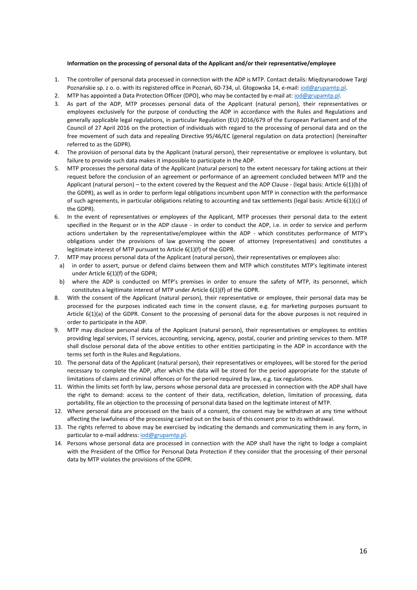#### **Information on the processing of personal data of the Applicant and/or their representative/employee**

- 1. The controller of personal data processed in connection with the ADP is MTP. Contact details: Międzynarodowe Targi Poznańskie sp. z o. o. with its registered office in Poznań, 60-734, ul. Głogowska 14, e-mail: iod@gru[pamtp.pl.](mailto:iod@grupamtp.pl)
- 2. MTP has appointed a Data Protection Officer (DPO), who may be contacted by e-mail at: [iod@grupamtp.pl.](mailto:iod@grupamtp.pl)
- 3. As part of the ADP, MTP processes personal data of the Applicant (natural person), their representatives or employees exclusively for the purpose of conducting the ADP in accordance with the Rules and Regulations and generally applicable legal regulations, in particular Regulation (EU) 2016/679 of the European Parliament and of the Council of 27 April 2016 on the protection of individuals with regard to the processing of personal data and on the free movement of such data and repealing Directive 95/46/EC (general regulation on data protection) (hereinafter referred to as the GDPR).
- 4. The provision of personal data by the Applicant (natural person), their representative or employee is voluntary, but failure to provide such data makes it impossible to participate in the ADP.
- 5. MTP processes the personal data of the Applicant (natural person) to the extent necessary for taking actions at their request before the conclusion of an agreement or performance of an agreement concluded between MTP and the Applicant (natural person) – to the extent covered by the Request and the ADP Clause - (legal basis: Article 6(1)(b) of the GDPR), as well as in order to perform legal obligations incumbent upon MTP in connection with the performance of such agreements, in particular obligations relating to accounting and tax settlements (legal basis: Article 6(1)(c) of the GDPR).
- 6. In the event of representatives or employees of the Applicant, MTP processes their personal data to the extent specified in the Request or in the ADP clause - in order to conduct the ADP, i.e. in order to service and perform actions undertaken by the representative/employee within the ADP - which constitutes performance of MTP's obligations under the provisions of law governing the power of attorney (representatives) and constitutes a legitimate interest of MTP pursuant to Article 6(1)(f) of the GDPR.
- 7. MTP may process personal data of the Applicant (natural person), their representatives or employees also:
- a) in order to assert, pursue or defend claims between them and MTP which constitutes MTP's legitimate interest under Article 6(1)(f) of the GDPR;
- b) where the ADP is conducted on MTP's premises in order to ensure the safety of MTP, its personnel, which constitutes a legitimate interest of MTP under Article 6(1)(f) of the GDPR.
- 8. With the consent of the Applicant (natural person), their representative or employee, their personal data may be processed for the purposes indicated each time in the consent clause, e.g. for marketing purposes pursuant to Article 6(1)(a) of the GDPR. Consent to the processing of personal data for the above purposes is not required in order to participate in the ADP.
- 9. MTP may disclose personal data of the Applicant (natural person), their representatives or employees to entities providing legal services, IT services, accounting, servicing, agency, postal, courier and printing services to them. MTP shall disclose personal data of the above entities to other entities participating in the ADP in accordance with the terms set forth in the Rules and Regulations.
- 10. The personal data of the Applicant (natural person), their representatives or employees, will be stored for the period necessary to complete the ADP, after which the data will be stored for the period appropriate for the statute of limitations of claims and criminal offences or for the period required by law, e.g. tax regulations.
- 11. Within the limits set forth by law, persons whose personal data are processed in connection with the ADP shall have the right to demand: access to the content of their data, rectification, deletion, limitation of processing, data portability, file an objection to the processing of personal data based on the legitimate interest of MTP.
- 12. Where personal data are processed on the basis of a consent, the consent may be withdrawn at any time without affecting the lawfulness of the processing carried out on the basis of this consent prior to its withdrawal.
- 13. The rights referred to above may be exercised by indicating the demands and communicating them in any form, in particular to e-mail address: [iod@grupamtp.pl.](mailto:iod@grupamtp.pl)
- 14. Persons whose personal data are processed in connection with the ADP shall have the right to lodge a complaint with the President of the Office for Personal Data Protection if they consider that the processing of their personal data by MTP violates the provisions of the GDPR.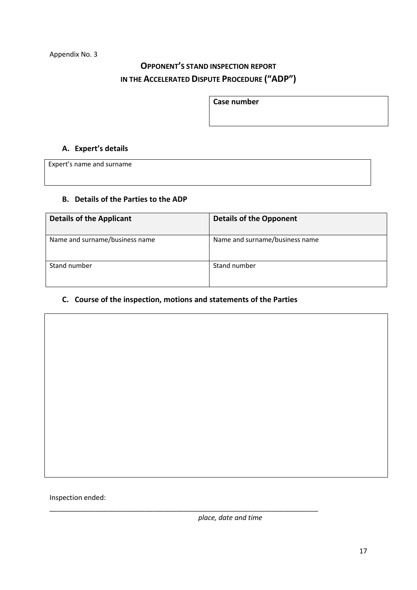# **OPPONENT'S STAND INSPECTION REPORT IN THE ACCELERATED DISPUTE PROCEDURE ("ADP")**

**Case number**

# **A. Expert's details**

Expert's name and surname

## **B. Details of the Parties to the ADP**

| <b>Details of the Applicant</b> | <b>Details of the Opponent</b> |
|---------------------------------|--------------------------------|
| Name and surname/business name  | Name and surname/business name |
| Stand number                    | Stand number                   |

## **C. Course of the inspection, motions and statements of the Parties**

\_\_\_\_\_\_\_\_\_\_\_\_\_\_\_\_\_\_\_\_\_\_\_\_\_\_\_\_\_\_\_\_\_\_\_\_\_\_\_\_\_\_\_\_\_\_\_\_\_\_\_\_\_\_\_\_\_\_\_\_\_\_\_\_\_\_\_\_\_\_

Inspection ended:

*place, date and time*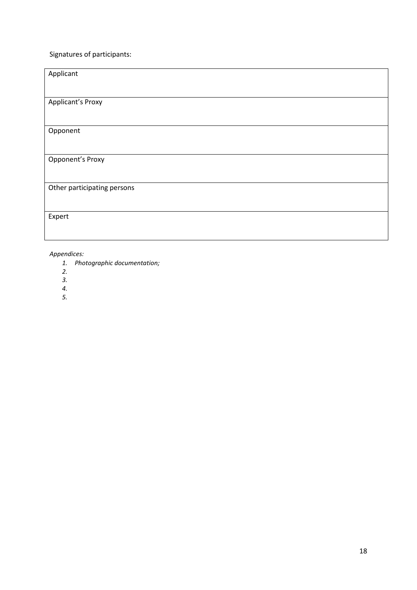# Signatures of participants:

| Applicant                   |
|-----------------------------|
|                             |
| <b>Applicant's Proxy</b>    |
|                             |
| Opponent                    |
|                             |
| <b>Opponent's Proxy</b>     |
|                             |
| Other participating persons |
|                             |
| Expert                      |
|                             |

#### *Appendices:*

- *1. Photographic documentation;*
- *2.*
- *3.*
- *4.*
- *5.*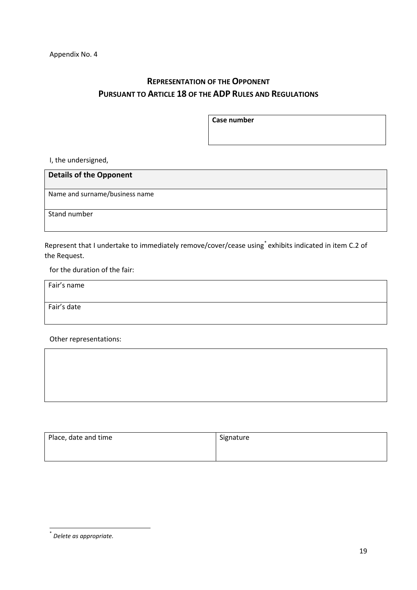# **REPRESENTATION OF THE OPPONENT PURSUANT TO ARTICLE 18 OF THE ADP RULES AND REGULATIONS**

**Case number**

I, the undersigned,

# **Details of the Opponent**

Name and surname/business name

Stand number

Represent that I undertake to immediately remove/cover/cease using[\\*](#page-18-0) exhibits indicated in item C.2 of the Request.

for the duration of the fair:

Fair's name

Fair's date

Other representations:

| Place, date and time | Signature |
|----------------------|-----------|
|                      |           |

<span id="page-18-0"></span> <sup>\*</sup> *Delete as appropriate.*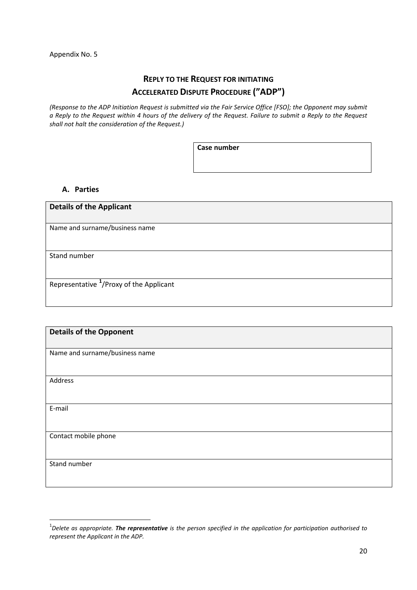# **REPLY TO THE REQUEST FOR INITIATING ACCELERATED DISPUTE PROCEDURE ("ADP")**

*(Response to the ADP Initiation Request is submitted via the Fair Service Office [FSO]; the Opponent may submit a Reply to the Request within 4 hours of the delivery of the Request. Failure to submit a Reply to the Request shall not halt the consideration of the Request.)*

**Case number**

#### **A. Parties**

| <b>Details of the Applicant</b>                     |  |
|-----------------------------------------------------|--|
|                                                     |  |
| Name and surname/business name                      |  |
|                                                     |  |
|                                                     |  |
| Stand number                                        |  |
|                                                     |  |
|                                                     |  |
| Representative <sup>1</sup> /Proxy of the Applicant |  |
|                                                     |  |
|                                                     |  |

| <b>Details of the Opponent</b> |
|--------------------------------|
|                                |
| Name and surname/business name |
|                                |
|                                |
| Address                        |
|                                |
|                                |
| E-mail                         |
|                                |
|                                |
| Contact mobile phone           |
|                                |
|                                |
| Stand number                   |
|                                |
|                                |

<span id="page-19-0"></span> $\overline{1}$ *Delete as appropriate. The representative is the person specified in the application for participation authorised to represent the Applicant in the ADP.*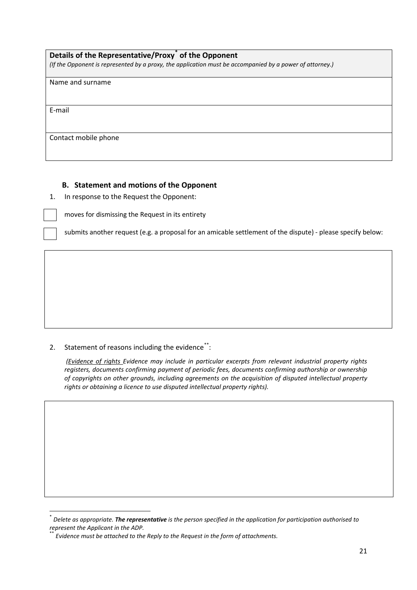## **Details of the Representative/Proxy[\\*](#page-20-0) of the Opponent**

*(If the Opponent is represented by a proxy, the application must be accompanied by a power of attorney.)*

Name and surname

E-mail

Contact mobile phone

#### **B. Statement and motions of the Opponent**

1. In response to the Request the Opponent:

moves for dismissing the Request in its entirety

submits another request (e.g. a proposal for an amicable settlement of the dispute) - please specify below:

#### 2. Statement of reasons including the evidence<sup>[\\*\\*](#page-20-1)</sup>:

*(Evidence of rights Evidence may include in particular excerpts from relevant industrial property rights registers, documents confirming payment of periodic fees, documents confirming authorship or ownership of copyrights on other grounds, including agreements on the acquisition of disputed intellectual property rights or obtaining a licence to use disputed intellectual property rights).*

<span id="page-20-0"></span> <sup>\*</sup> *Delete as appropriate. The representative is the person specified in the application for participation authorised to represent the Applicant in the ADP.* 

<span id="page-20-1"></span><sup>\*\*</sup> *Evidence must be attached to the Reply to the Request in the form of attachments.*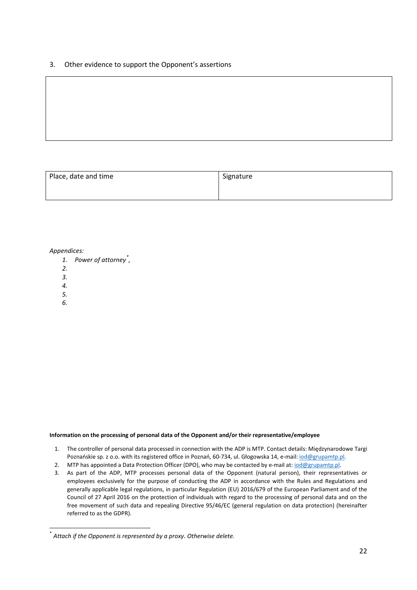3. Other evidence to support the Opponent's assertions

| Place, date and time | Signature |
|----------------------|-----------|
|                      |           |

#### *Appendices:*

- *1. Power of attorney[\\*](#page-21-0) ,*
- *2.*
- *3.*
- *4.*
- *5.*
- *6.*

#### **Information on the processing of personal data of the Opponent and/or their representative/employee**

- 1. The controller of personal data processed in connection with the ADP is MTP. Contact details: Międzynarodowe Targi Poznańskie sp. z o.o. with its registered office in Poznań, 60-734, ul. Głogowska 14, e-mail: [iod@grupamtp.pl.](mailto:iod@grupamtp.pl)
- 2. MTP has appointed a Data Protection Officer (DPO), who may be contacted by e-mail at: [iod@grupamtp.pl.](mailto:iod@grupamtp.pl)
- 3. As part of the ADP, MTP processes personal data of the Opponent (natural person), their representatives or employees exclusively for the purpose of conducting the ADP in accordance with the Rules and Regulations and generally applicable legal regulations, in particular Regulation (EU) 2016/679 of the European Parliament and of the Council of 27 April 2016 on the protection of individuals with regard to the processing of personal data and on the free movement of such data and repealing Directive 95/46/EC (general regulation on data protection) (hereinafter referred to as the GDPR).

<span id="page-21-0"></span> <sup>\*</sup> *Attach if the Opponent is represented by a proxy*. *Otherwise delete.*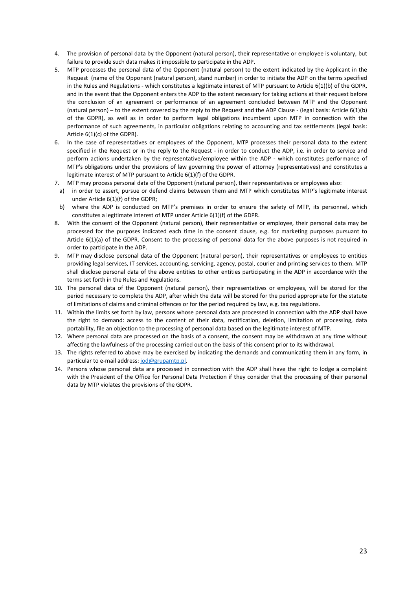- 4. The provision of personal data by the Opponent (natural person), their representative or employee is voluntary, but failure to provide such data makes it impossible to participate in the ADP.
- 5. MTP processes the personal data of the Opponent (natural person) to the extent indicated by the Applicant in the Request (name of the Opponent (natural person), stand number) in order to initiate the ADP on the terms specified in the Rules and Regulations - which constitutes a legitimate interest of MTP pursuant to Article 6(1)(b) of the GDPR, and in the event that the Opponent enters the ADP to the extent necessary for taking actions at their request before the conclusion of an agreement or performance of an agreement concluded between MTP and the Opponent (natural person) – to the extent covered by the reply to the Request and the ADP Clause - (legal basis: Article 6(1)(b) of the GDPR), as well as in order to perform legal obligations incumbent upon MTP in connection with the performance of such agreements, in particular obligations relating to accounting and tax settlements (legal basis: Article 6(1)(c) of the GDPR).
- 6. In the case of representatives or employees of the Opponent, MTP processes their personal data to the extent specified in the Request or in the reply to the Request - in order to conduct the ADP, i.e. in order to service and perform actions undertaken by the representative/employee within the ADP - which constitutes performance of MTP's obligations under the provisions of law governing the power of attorney (representatives) and constitutes a legitimate interest of MTP pursuant to Article 6(1)(f) of the GDPR.
- 7. MTP may process personal data of the Opponent (natural person), their representatives or employees also:
- a) in order to assert, pursue or defend claims between them and MTP which constitutes MTP's legitimate interest under Article 6(1)(f) of the GDPR;
- b) where the ADP is conducted on MTP's premises in order to ensure the safety of MTP, its personnel, which constitutes a legitimate interest of MTP under Article 6(1)(f) of the GDPR.
- 8. With the consent of the Opponent (natural person), their representative or employee, their personal data may be processed for the purposes indicated each time in the consent clause, e.g. for marketing purposes pursuant to Article 6(1)(a) of the GDPR. Consent to the processing of personal data for the above purposes is not required in order to participate in the ADP.
- 9. MTP may disclose personal data of the Opponent (natural person), their representatives or employees to entities providing legal services, IT services, accounting, servicing, agency, postal, courier and printing services to them. MTP shall disclose personal data of the above entities to other entities participating in the ADP in accordance with the terms set forth in the Rules and Regulations.
- 10. The personal data of the Opponent (natural person), their representatives or employees, will be stored for the period necessary to complete the ADP, after which the data will be stored for the period appropriate for the statute of limitations of claims and criminal offences or for the period required by law, e.g. tax regulations.
- 11. Within the limits set forth by law, persons whose personal data are processed in connection with the ADP shall have the right to demand: access to the content of their data, rectification, deletion, limitation of processing, data portability, file an objection to the processing of personal data based on the legitimate interest of MTP.
- 12. Where personal data are processed on the basis of a consent, the consent may be withdrawn at any time without affecting the lawfulness of the processing carried out on the basis of this consent prior to its withdrawal.
- 13. The rights referred to above may be exercised by indicating the demands and communicating them in any form, in particular to e-mail address: [iod@grupamtp.pl.](mailto:iod@grupamtp.pl)
- 14. Persons whose personal data are processed in connection with the ADP shall have the right to lodge a complaint with the President of the Office for Personal Data Protection if they consider that the processing of their personal data by MTP violates the provisions of the GDPR.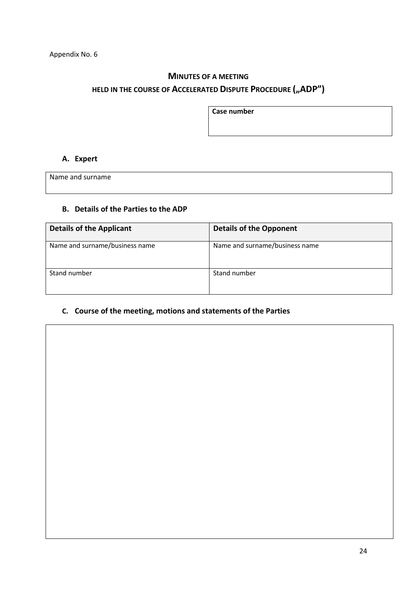# **MINUTES OF A MEETING**

# HELD IN THE COURSE OF ACCELERATED DISPUTE PROCEDURE ("ADP")

**Case number**

# **A. Expert**

Name and surname

# **B. Details of the Parties to the ADP**

| <b>Details of the Applicant</b> | <b>Details of the Opponent</b> |
|---------------------------------|--------------------------------|
| Name and surname/business name  | Name and surname/business name |
| Stand number                    | Stand number                   |

# **C. Course of the meeting, motions and statements of the Parties**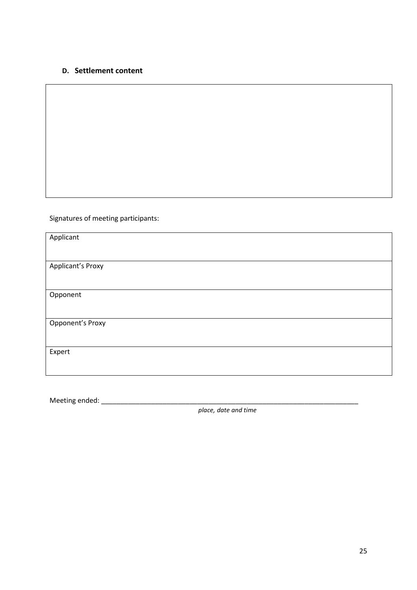# **D. Settlement content**

Signatures of meeting participants:

| Applicant                |  |
|--------------------------|--|
|                          |  |
| <b>Applicant's Proxy</b> |  |
|                          |  |
| Opponent                 |  |
|                          |  |
| Opponent's Proxy         |  |
|                          |  |
| Expert                   |  |
|                          |  |

Meeting ended: \_\_\_\_\_\_\_\_\_\_\_\_\_\_\_\_\_\_\_\_\_\_\_\_\_\_\_\_\_\_\_\_\_\_\_\_\_\_\_\_\_\_\_\_\_\_\_\_\_\_\_\_\_\_\_\_\_\_\_\_\_\_\_\_\_\_\_

*place, date and time*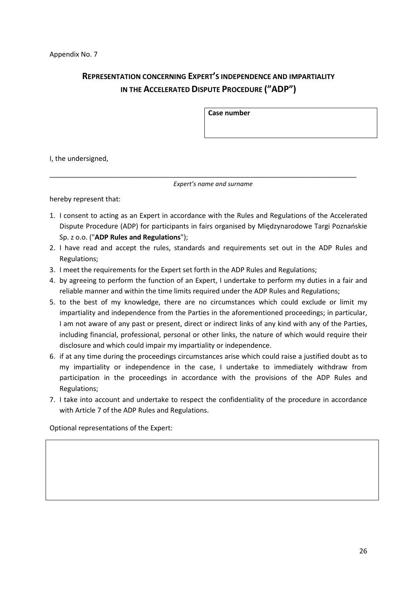# **REPRESENTATION CONCERNING EXPERT'S INDEPENDENCE AND IMPARTIALITY IN THE ACCELERATED DISPUTE PROCEDURE ("ADP")**

**Case number**

I, the undersigned,

*Expert's name and surname*

\_\_\_\_\_\_\_\_\_\_\_\_\_\_\_\_\_\_\_\_\_\_\_\_\_\_\_\_\_\_\_\_\_\_\_\_\_\_\_\_\_\_\_\_\_\_\_\_\_\_\_\_\_\_\_\_\_\_\_\_\_\_\_\_\_\_\_\_\_\_\_\_\_\_\_\_\_\_\_\_

hereby represent that:

- 1. I consent to acting as an Expert in accordance with the Rules and Regulations of the Accelerated Dispute Procedure (ADP) for participants in fairs organised by Międzynarodowe Targi Poznańskie Sp. z o.o. ("**ADP Rules and Regulations**");
- 2. I have read and accept the rules, standards and requirements set out in the ADP Rules and Regulations;
- 3. I meet the requirements for the Expert set forth in the ADP Rules and Regulations;
- 4. by agreeing to perform the function of an Expert, I undertake to perform my duties in a fair and reliable manner and within the time limits required under the ADP Rules and Regulations;
- 5. to the best of my knowledge, there are no circumstances which could exclude or limit my impartiality and independence from the Parties in the aforementioned proceedings; in particular, I am not aware of any past or present, direct or indirect links of any kind with any of the Parties, including financial, professional, personal or other links, the nature of which would require their disclosure and which could impair my impartiality or independence.
- 6. if at any time during the proceedings circumstances arise which could raise a justified doubt as to my impartiality or independence in the case, I undertake to immediately withdraw from participation in the proceedings in accordance with the provisions of the ADP Rules and Regulations;
- 7. I take into account and undertake to respect the confidentiality of the procedure in accordance with Article 7 of the ADP Rules and Regulations.

Optional representations of the Expert: